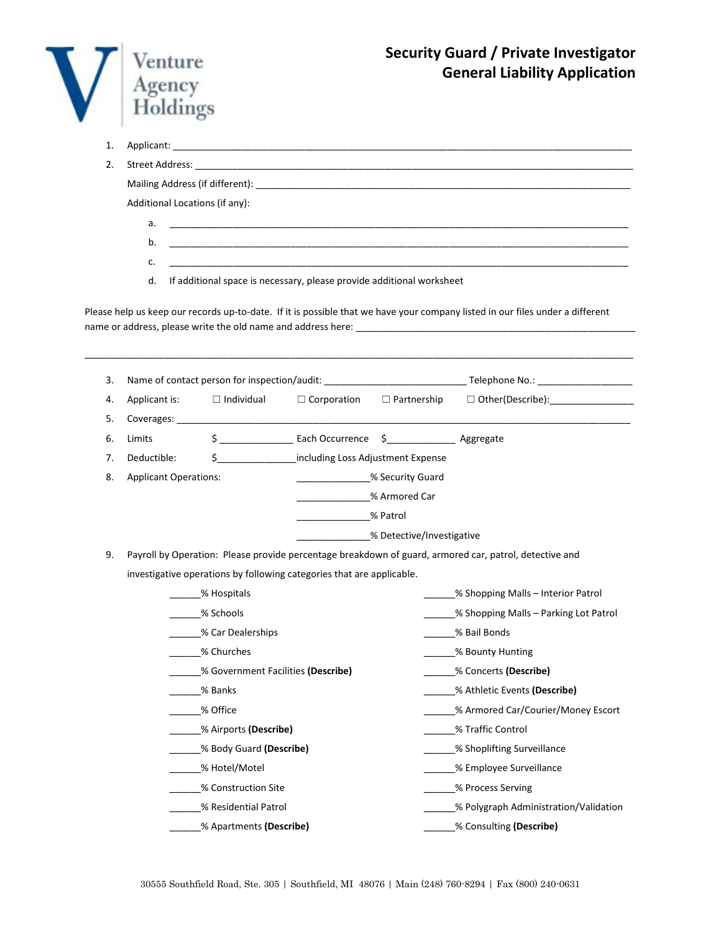

1. Applicant: \_\_\_\_\_\_\_\_\_\_\_\_\_\_\_\_\_\_\_\_\_\_\_\_\_\_\_\_\_\_\_\_\_\_\_\_\_\_\_\_\_\_\_\_\_\_\_\_\_\_\_\_\_\_\_\_\_\_\_\_\_\_\_\_\_\_\_\_\_\_\_\_\_\_\_\_\_\_\_\_\_\_\_\_\_\_\_

| 2. |    |                                                                                                                      |
|----|----|----------------------------------------------------------------------------------------------------------------------|
|    |    |                                                                                                                      |
|    |    | Additional Locations (if any):                                                                                       |
|    | a. |                                                                                                                      |
|    | b. | <u> 2000 - 2000 - 2000 - 2000 - 2000 - 2000 - 2000 - 2000 - 2000 - 2000 - 2000 - 2000 - 2000 - 2000 - 2000 - 200</u> |
|    | c. | <u> 1980 - John Stone, amerikansk politiker (</u> † 1920)                                                            |
|    | d. | If additional space is necessary, please provide additional worksheet                                                |

Please help us keep our records up-to-date. If it is possible that we have your company listed in our files under a different name or address, please write the old name and address here: \_\_\_\_\_\_\_\_\_\_\_\_\_\_\_\_\_\_\_\_\_\_\_\_\_\_\_\_\_\_\_\_\_\_\_\_\_\_\_\_\_\_\_\_\_\_\_\_\_\_\_\_\_

\_\_\_\_\_\_\_\_\_\_\_\_\_\_\_\_\_\_\_\_\_\_\_\_\_\_\_\_\_\_\_\_\_\_\_\_\_\_\_\_\_\_\_\_\_\_\_\_\_\_\_\_\_\_\_\_\_\_\_\_\_\_\_\_\_\_\_\_\_\_\_\_\_\_\_\_\_\_\_\_\_\_\_\_\_\_\_\_\_\_\_\_\_\_\_\_\_\_\_\_\_\_\_\_

| 3. |                                    |                         |                                                                       |                                      |                                                                                                        |  |  |  |
|----|------------------------------------|-------------------------|-----------------------------------------------------------------------|--------------------------------------|--------------------------------------------------------------------------------------------------------|--|--|--|
| 4. | Applicant is:                      | $\Box$ Individual       | $\Box$ Corporation $\Box$ Partnership                                 |                                      | □ Other(Describe):___________________                                                                  |  |  |  |
| 5. |                                    |                         |                                                                       |                                      |                                                                                                        |  |  |  |
| 6. | Limits                             |                         | \$ ___________________ Each Occurrence \$ ________________ Aggregate  |                                      |                                                                                                        |  |  |  |
| 7. | Deductible:                        |                         |                                                                       | \$ including Loss Adjustment Expense |                                                                                                        |  |  |  |
| 8. | <b>Applicant Operations:</b>       |                         | Security Guard % Security                                             |                                      |                                                                                                        |  |  |  |
|    |                                    |                         | % Armored Car                                                         |                                      |                                                                                                        |  |  |  |
|    |                                    |                         | <b>1986</b> Patrol                                                    |                                      |                                                                                                        |  |  |  |
|    |                                    |                         |                                                                       | % Detective/Investigative            |                                                                                                        |  |  |  |
| 9. |                                    |                         |                                                                       |                                      | Payroll by Operation: Please provide percentage breakdown of guard, armored car, patrol, detective and |  |  |  |
|    |                                    |                         | investigative operations by following categories that are applicable. |                                      |                                                                                                        |  |  |  |
|    | % Hospitals                        |                         |                                                                       |                                      | % Shopping Malls – Interior Patrol                                                                     |  |  |  |
|    |                                    | % Schools               |                                                                       |                                      | % Shopping Malls – Parking Lot Patrol                                                                  |  |  |  |
|    | % Car Dealerships                  |                         |                                                                       |                                      | % Bail Bonds                                                                                           |  |  |  |
|    | % Churches                         |                         |                                                                       |                                      | % Bounty Hunting                                                                                       |  |  |  |
|    | % Government Facilities (Describe) |                         |                                                                       |                                      | % Concerts (Describe)                                                                                  |  |  |  |
|    | % Banks                            |                         |                                                                       |                                      | % Athletic Events (Describe)                                                                           |  |  |  |
|    |                                    | % Office                |                                                                       |                                      | % Armored Car/Courier/Money Escort                                                                     |  |  |  |
|    |                                    | % Airports (Describe)   |                                                                       |                                      | % Traffic Control                                                                                      |  |  |  |
|    |                                    | % Body Guard (Describe) |                                                                       |                                      | % Shoplifting Surveillance                                                                             |  |  |  |
|    |                                    | % Hotel/Motel           |                                                                       |                                      | _______% Employee Surveillance                                                                         |  |  |  |
|    |                                    | % Construction Site     |                                                                       |                                      | % Process Serving                                                                                      |  |  |  |
|    |                                    | % Residential Patrol    |                                                                       |                                      | % Polygraph Administration/Validation                                                                  |  |  |  |
|    | % Apartments (Describe)            |                         |                                                                       |                                      | % Consulting (Describe)                                                                                |  |  |  |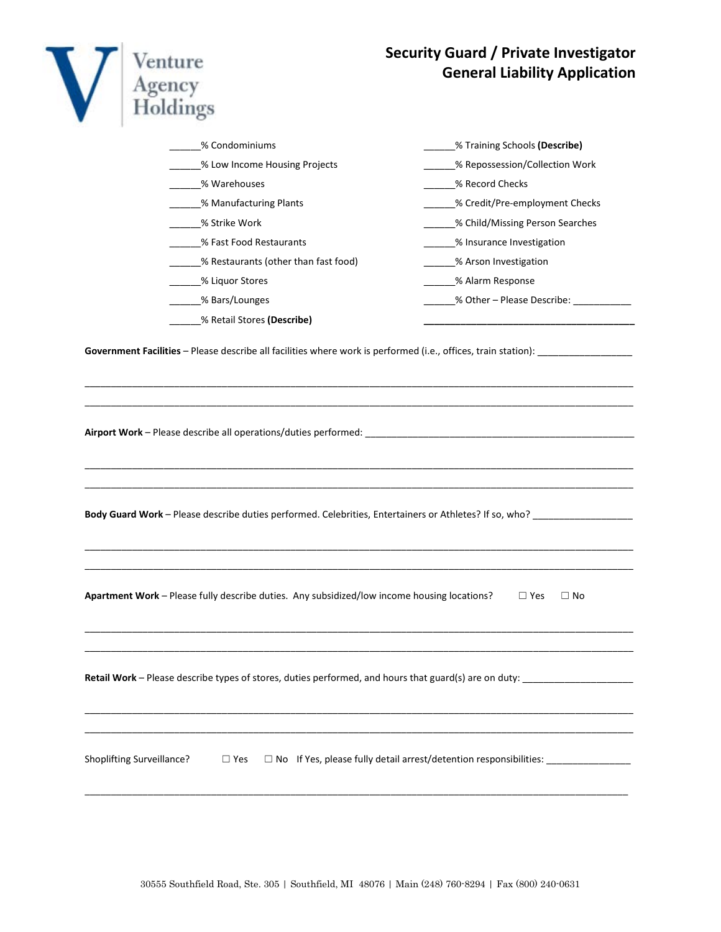| enture<br>oldings                                                                                                                 | <b>Security Guard / Private Investigator</b><br><b>General Liability Application</b>                                                    |
|-----------------------------------------------------------------------------------------------------------------------------------|-----------------------------------------------------------------------------------------------------------------------------------------|
| % Condominiums                                                                                                                    | _____% Training Schools (Describe)                                                                                                      |
| ___% Low Income Housing Projects                                                                                                  | ____% Repossession/Collection Work                                                                                                      |
| ______% Warehouses                                                                                                                | % Record Checks                                                                                                                         |
| _____% Manufacturing Plants                                                                                                       | _____% Credit/Pre-employment Checks                                                                                                     |
| _____% Strike Work                                                                                                                | ____% Child/Missing Person Searches                                                                                                     |
| % Fast Food Restaurants                                                                                                           | ____% Insurance Investigation                                                                                                           |
| % Restaurants (other than fast food)                                                                                              | _____% Arson Investigation                                                                                                              |
| _____% Liquor Stores                                                                                                              | ______% Alarm Response                                                                                                                  |
| _____% Bars/Lounges                                                                                                               | ______% Other - Please Describe: ____________                                                                                           |
| ____% Retail Stores (Describe)                                                                                                    |                                                                                                                                         |
|                                                                                                                                   | Government Facilities - Please describe all facilities where work is performed (i.e., offices, train station): ________________________ |
|                                                                                                                                   |                                                                                                                                         |
| Apartment Work - Please fully describe duties. Any subsidized/low income housing locations?                                       | $\Box$ Yes<br>$\Box$ No                                                                                                                 |
| Retail Work - Please describe types of stores, duties performed, and hours that guard(s) are on duty: ___________________________ |                                                                                                                                         |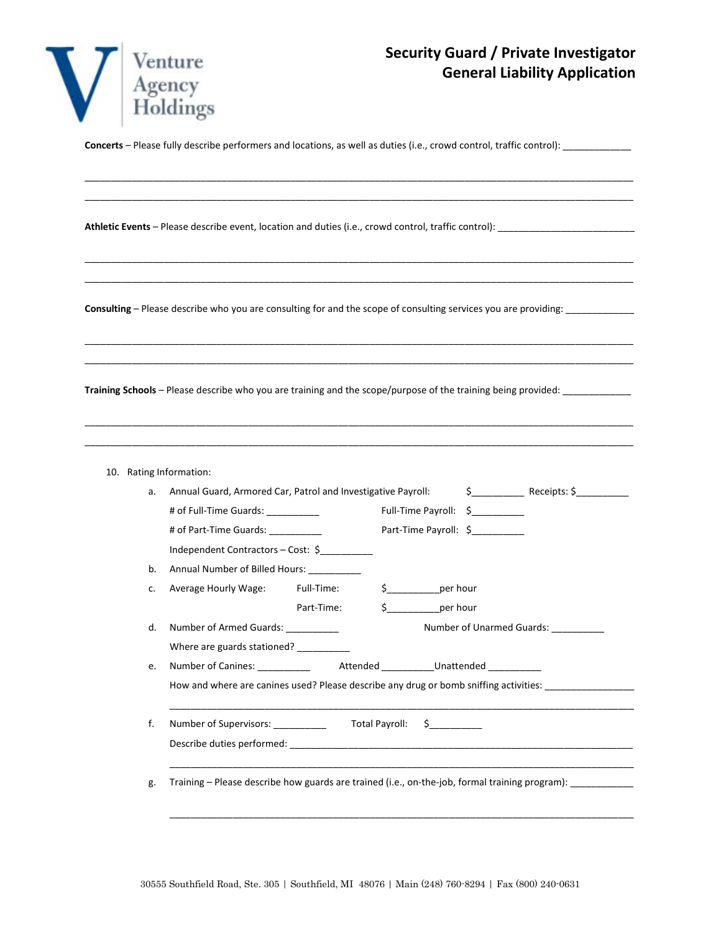

**Concerts** – Please fully describe performers and locations, as well as duties (i.e., crowd control, traffic control): \_\_\_\_\_\_\_\_\_\_\_\_\_

\_\_\_\_\_\_\_\_\_\_\_\_\_\_\_\_\_\_\_\_\_\_\_\_\_\_\_\_\_\_\_\_\_\_\_\_\_\_\_\_\_\_\_\_\_\_\_\_\_\_\_\_\_\_\_\_\_\_\_\_\_\_\_\_\_\_\_\_\_\_\_\_\_\_\_\_\_\_\_\_\_\_\_\_\_\_\_\_\_\_\_\_\_\_\_\_\_\_\_\_\_\_\_\_ \_\_\_\_\_\_\_\_\_\_\_\_\_\_\_\_\_\_\_\_\_\_\_\_\_\_\_\_\_\_\_\_\_\_\_\_\_\_\_\_\_\_\_\_\_\_\_\_\_\_\_\_\_\_\_\_\_\_\_\_\_\_\_\_\_\_\_\_\_\_\_\_\_\_\_\_\_\_\_\_\_\_\_\_\_\_\_\_\_\_\_\_\_\_\_\_\_\_\_\_\_\_\_\_

\_\_\_\_\_\_\_\_\_\_\_\_\_\_\_\_\_\_\_\_\_\_\_\_\_\_\_\_\_\_\_\_\_\_\_\_\_\_\_\_\_\_\_\_\_\_\_\_\_\_\_\_\_\_\_\_\_\_\_\_\_\_\_\_\_\_\_\_\_\_\_\_\_\_\_\_\_\_\_\_\_\_\_\_\_\_\_\_\_\_\_\_\_\_\_\_\_\_\_\_\_\_\_\_ \_\_\_\_\_\_\_\_\_\_\_\_\_\_\_\_\_\_\_\_\_\_\_\_\_\_\_\_\_\_\_\_\_\_\_\_\_\_\_\_\_\_\_\_\_\_\_\_\_\_\_\_\_\_\_\_\_\_\_\_\_\_\_\_\_\_\_\_\_\_\_\_\_\_\_\_\_\_\_\_\_\_\_\_\_\_\_\_\_\_\_\_\_\_\_\_\_\_\_\_\_\_\_\_

\_\_\_\_\_\_\_\_\_\_\_\_\_\_\_\_\_\_\_\_\_\_\_\_\_\_\_\_\_\_\_\_\_\_\_\_\_\_\_\_\_\_\_\_\_\_\_\_\_\_\_\_\_\_\_\_\_\_\_\_\_\_\_\_\_\_\_\_\_\_\_\_\_\_\_\_\_\_\_\_\_\_\_\_\_\_\_\_\_\_\_\_\_\_\_\_\_\_\_\_\_\_\_\_ \_\_\_\_\_\_\_\_\_\_\_\_\_\_\_\_\_\_\_\_\_\_\_\_\_\_\_\_\_\_\_\_\_\_\_\_\_\_\_\_\_\_\_\_\_\_\_\_\_\_\_\_\_\_\_\_\_\_\_\_\_\_\_\_\_\_\_\_\_\_\_\_\_\_\_\_\_\_\_\_\_\_\_\_\_\_\_\_\_\_\_\_\_\_\_\_\_\_\_\_\_\_\_\_

\_\_\_\_\_\_\_\_\_\_\_\_\_\_\_\_\_\_\_\_\_\_\_\_\_\_\_\_\_\_\_\_\_\_\_\_\_\_\_\_\_\_\_\_\_\_\_\_\_\_\_\_\_\_\_\_\_\_\_\_\_\_\_\_\_\_\_\_\_\_\_\_\_\_\_\_\_\_\_\_\_\_\_\_\_\_\_\_\_\_\_\_\_\_\_\_\_\_\_\_\_\_\_\_ \_\_\_\_\_\_\_\_\_\_\_\_\_\_\_\_\_\_\_\_\_\_\_\_\_\_\_\_\_\_\_\_\_\_\_\_\_\_\_\_\_\_\_\_\_\_\_\_\_\_\_\_\_\_\_\_\_\_\_\_\_\_\_\_\_\_\_\_\_\_\_\_\_\_\_\_\_\_\_\_\_\_\_\_\_\_\_\_\_\_\_\_\_\_\_\_\_\_\_\_\_\_\_\_

**Athletic Events** – Please describe event, location and duties (i.e., crowd control, traffic control): \_\_\_\_\_\_\_\_\_\_\_\_\_\_\_\_\_\_\_\_\_\_\_\_\_\_

Consulting – Please describe who you are consulting for and the scope of consulting services you are providing: \_\_\_\_\_\_\_\_\_\_\_\_\_

**Training Schools** – Please describe who you are training and the scope/purpose of the training being provided: \_\_\_\_\_\_\_\_\_\_\_\_\_

| 10. |  | Rating Information: |
|-----|--|---------------------|
|-----|--|---------------------|

| а. | Annual Guard, Armored Car, Patrol and Investigative Payroll:                                         |            |  |                         | $\frac{1}{2}$ Receipts: $\frac{1}{2}$ Receipts: $\frac{1}{2}$ |                           |
|----|------------------------------------------------------------------------------------------------------|------------|--|-------------------------|---------------------------------------------------------------|---------------------------|
|    | # of Full-Time Guards: ____________                                                                  |            |  |                         | Full-Time Payroll: \$_________                                |                           |
|    | # of Part-Time Guards: _________                                                                     |            |  |                         | Part-Time Payroll: \$                                         |                           |
|    | Independent Contractors - Cost: \$                                                                   |            |  |                         |                                                               |                           |
| b. | Annual Number of Billed Hours: __________                                                            |            |  |                         |                                                               |                           |
| c. | Average Hourly Wage: Full-Time:                                                                      |            |  | $\frac{1}{2}$ per hour  |                                                               |                           |
|    |                                                                                                      | Part-Time: |  | \$_____________per hour |                                                               |                           |
| d. | Number of Armed Guards: ___________                                                                  |            |  |                         |                                                               | Number of Unarmed Guards: |
|    | Where are guards stationed? __________                                                               |            |  |                         |                                                               |                           |
| e. | Number of Canines: ____________ Attended ___________Unattended __________                            |            |  |                         |                                                               |                           |
|    | How and where are canines used? Please describe any drug or bomb sniffing activities: ______________ |            |  |                         |                                                               |                           |
|    |                                                                                                      |            |  |                         |                                                               |                           |
| f. |                                                                                                      |            |  |                         |                                                               |                           |
|    |                                                                                                      |            |  |                         |                                                               |                           |
|    |                                                                                                      |            |  |                         |                                                               |                           |
| g. | Training – Please describe how guards are trained (i.e., on-the-job, formal training program):       |            |  |                         |                                                               |                           |
|    |                                                                                                      |            |  |                         |                                                               |                           |

\_\_\_\_\_\_\_\_\_\_\_\_\_\_\_\_\_\_\_\_\_\_\_\_\_\_\_\_\_\_\_\_\_\_\_\_\_\_\_\_\_\_\_\_\_\_\_\_\_\_\_\_\_\_\_\_\_\_\_\_\_\_\_\_\_\_\_\_\_\_\_\_\_\_\_\_\_\_\_\_\_\_\_\_\_\_\_\_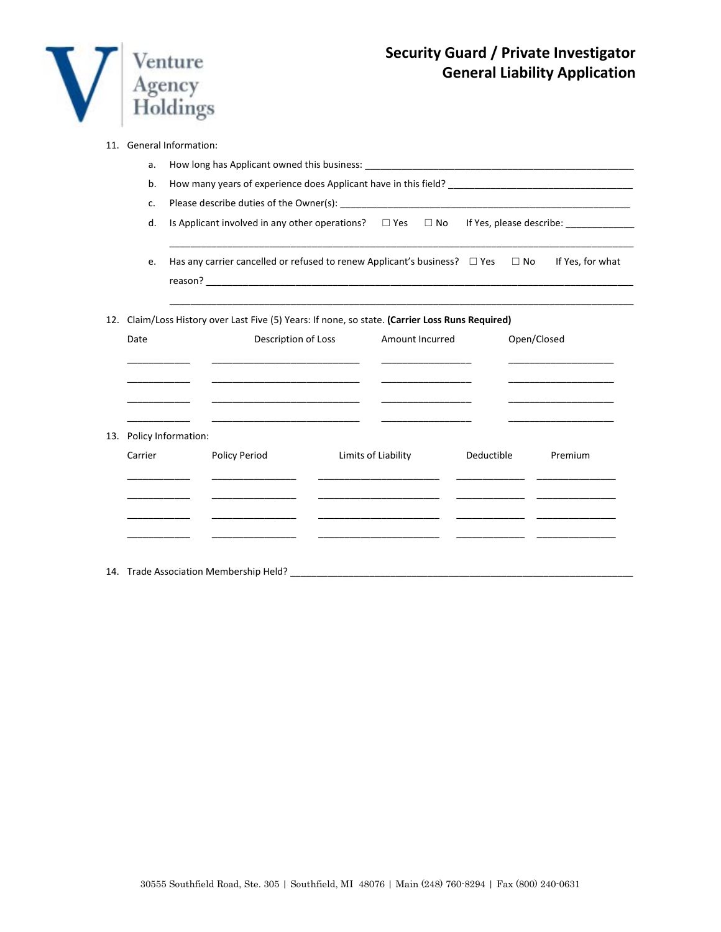

| 11. General Information: |  |  |
|--------------------------|--|--|
|--------------------------|--|--|

|      | a.      |                                                                                                    |                                                                                                                                                            |  |                                                                                                                                                                         |            |             |                                                                                                                                                                                                                                      |  |  |
|------|---------|----------------------------------------------------------------------------------------------------|------------------------------------------------------------------------------------------------------------------------------------------------------------|--|-------------------------------------------------------------------------------------------------------------------------------------------------------------------------|------------|-------------|--------------------------------------------------------------------------------------------------------------------------------------------------------------------------------------------------------------------------------------|--|--|
|      | b.      |                                                                                                    |                                                                                                                                                            |  |                                                                                                                                                                         |            |             |                                                                                                                                                                                                                                      |  |  |
|      | c.      |                                                                                                    |                                                                                                                                                            |  |                                                                                                                                                                         |            |             |                                                                                                                                                                                                                                      |  |  |
|      | d.      | Is Applicant involved in any other operations? $\square$ Yes $\square$ No If Yes, please describe: |                                                                                                                                                            |  |                                                                                                                                                                         |            |             |                                                                                                                                                                                                                                      |  |  |
|      | e.      |                                                                                                    | Has any carrier cancelled or refused to renew Applicant's business? $\square$ Yes $\square$ No                                                             |  |                                                                                                                                                                         |            |             | If Yes, for what                                                                                                                                                                                                                     |  |  |
| 12.  |         |                                                                                                    | Claim/Loss History over Last Five (5) Years: If none, so state. (Carrier Loss Runs Required)                                                               |  |                                                                                                                                                                         |            |             |                                                                                                                                                                                                                                      |  |  |
| Date |         |                                                                                                    | Description of Loss                                                                                                                                        |  | Amount Incurred                                                                                                                                                         |            | Open/Closed |                                                                                                                                                                                                                                      |  |  |
|      |         |                                                                                                    | the control of the control of the control of the control of the control of the control of<br><u> 1980 - Johann Barn, mars an t-Amerikaansk politiker (</u> |  |                                                                                                                                                                         |            |             | <u> 1989 - Johann John Stone, mars et al. 1989 - John Stone, mars et al. 1989 - John Stone, mars et al. 1989 - John Stone</u>                                                                                                        |  |  |
| 13.  |         | Policy Information:                                                                                | <u> 1989 - Johann Barbara, martin da kasar Amerika Indonesia.</u>                                                                                          |  |                                                                                                                                                                         |            |             | <u> 1980 - Jan James James Jan James James Jan James James Jan James James Jan James James Jan Jan James James Ja</u>                                                                                                                |  |  |
|      | Carrier |                                                                                                    | Policy Period                                                                                                                                              |  | Limits of Liability                                                                                                                                                     | Deductible |             | Premium                                                                                                                                                                                                                              |  |  |
|      |         |                                                                                                    |                                                                                                                                                            |  | <u> 1989 - Johann John Stone, mars et al.</u><br><u> 1980 - Johann John Harry Harry Harry Harry Harry Harry Harry Harry Harry Harry Harry Harry Harry Harry Harry H</u> |            |             | <u> 2000 - Jan James James Jan James James James James James James James James James James James James James James James James James James James James James James James James James James James James James James James James J</u> |  |  |
|      |         |                                                                                                    |                                                                                                                                                            |  |                                                                                                                                                                         |            |             |                                                                                                                                                                                                                                      |  |  |

14. Trade Association Membership Held? \_\_\_\_\_\_\_\_\_\_\_\_\_\_\_\_\_\_\_\_\_\_\_\_\_\_\_\_\_\_\_\_\_\_\_\_\_\_\_\_\_\_\_\_\_\_\_\_\_\_\_\_\_\_\_\_\_\_\_\_\_\_\_\_\_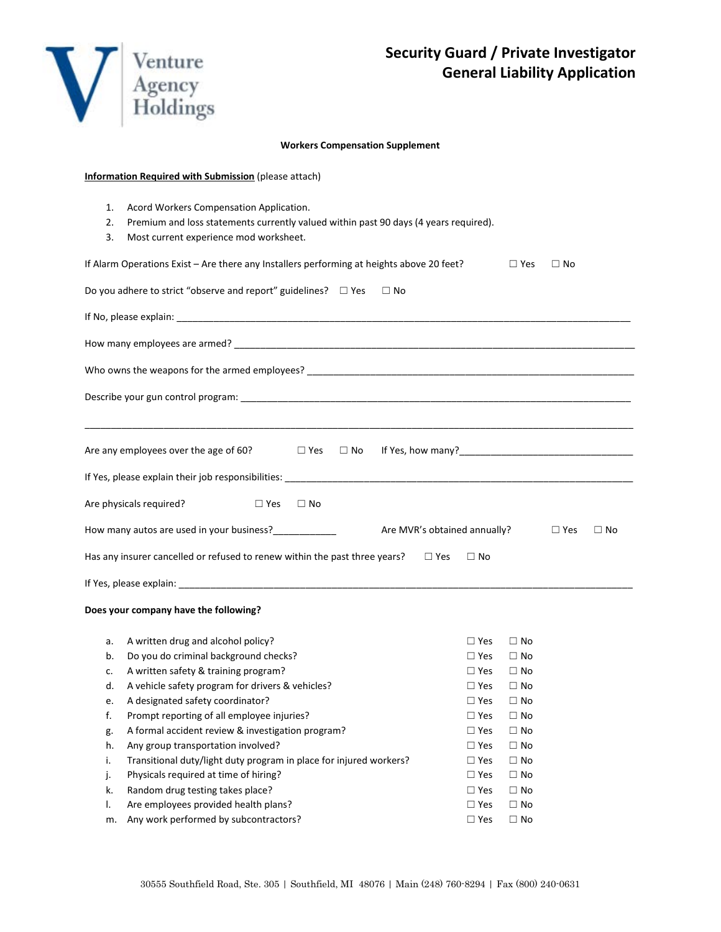

#### **Workers Compensation Supplement**

| <b>Information Required with Submission (please attach)</b>                                                                                                                                                                    |  |  |  |  |  |  |  |
|--------------------------------------------------------------------------------------------------------------------------------------------------------------------------------------------------------------------------------|--|--|--|--|--|--|--|
| Acord Workers Compensation Application.<br>1.<br>Premium and loss statements currently valued within past 90 days (4 years required).<br>2.<br>Most current experience mod worksheet.<br>3.                                    |  |  |  |  |  |  |  |
| If Alarm Operations Exist - Are there any Installers performing at heights above 20 feet?<br>$\Box$ Yes<br>$\Box$ No                                                                                                           |  |  |  |  |  |  |  |
| Do you adhere to strict "observe and report" guidelines? $\Box$ Yes<br>$\Box$ No                                                                                                                                               |  |  |  |  |  |  |  |
| If No, please explain: example and a series of the series of the series of the series of the series of the series of the series of the series of the series of the series of the series of the series of the series of the ser |  |  |  |  |  |  |  |
|                                                                                                                                                                                                                                |  |  |  |  |  |  |  |
|                                                                                                                                                                                                                                |  |  |  |  |  |  |  |
|                                                                                                                                                                                                                                |  |  |  |  |  |  |  |
| Are any employees over the age of 60?<br>$\square$ Yes<br>$\Box$ No                                                                                                                                                            |  |  |  |  |  |  |  |
|                                                                                                                                                                                                                                |  |  |  |  |  |  |  |
| Are physicals required?<br>$\Box$ Yes<br>$\Box$ No                                                                                                                                                                             |  |  |  |  |  |  |  |
| How many autos are used in your business?<br><u>Internal many</u><br>Are MVR's obtained annually?<br>$\square$ Yes<br>$\Box$ No                                                                                                |  |  |  |  |  |  |  |
| Has any insurer cancelled or refused to renew within the past three years?<br>$\square$ Yes<br>$\Box$ No                                                                                                                       |  |  |  |  |  |  |  |
|                                                                                                                                                                                                                                |  |  |  |  |  |  |  |
| Does your company have the following?                                                                                                                                                                                          |  |  |  |  |  |  |  |
| A written drug and alcohol policy?<br>$\Box$ Yes<br>$\Box$ No<br>a.<br>Do you do criminal background checks?<br>b.<br>$\Box$ Yes<br>$\Box$ No<br>$\Box$ $\vee$ $\Box$<br>$\Box$                                                |  |  |  |  |  |  |  |

| $c_{\cdot}$ | A written safety & training program?                               | $\Box$ Yes | $\Box$ No |
|-------------|--------------------------------------------------------------------|------------|-----------|
| d.          | A vehicle safety program for drivers & vehicles?                   | $\Box$ Yes | $\Box$ No |
| e.          | A designated safety coordinator?                                   | $\Box$ Yes | $\Box$ No |
| f.          | Prompt reporting of all employee injuries?                         | $\Box$ Yes | $\Box$ No |
| g.          | A formal accident review & investigation program?                  | $\Box$ Yes | $\Box$ No |
| h.          | Any group transportation involved?                                 | $\Box$ Yes | $\Box$ No |
| i.          | Transitional duty/light duty program in place for injured workers? | $\Box$ Yes | $\Box$ No |
| j.          | Physicals required at time of hiring?                              | $\Box$ Yes | $\Box$ No |
| k.          | Random drug testing takes place?                                   | $\Box$ Yes | $\Box$ No |
| I.          | Are employees provided health plans?                               | $\Box$ Yes | $\Box$ No |
| m.          | Any work performed by subcontractors?                              | $\Box$ Yes | $\Box$ No |
|             |                                                                    |            |           |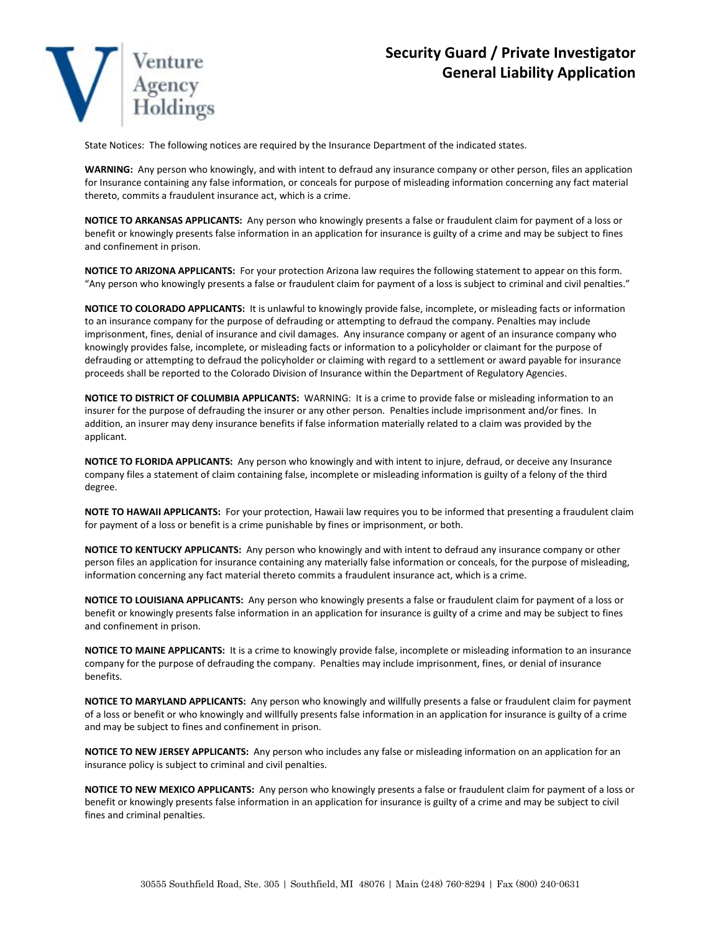

State Notices: The following notices are required by the Insurance Department of the indicated states.

**WARNING:** Any person who knowingly, and with intent to defraud any insurance company or other person, files an application for Insurance containing any false information, or conceals for purpose of misleading information concerning any fact material thereto, commits a fraudulent insurance act, which is a crime.

**NOTICE TO ARKANSAS APPLICANTS:** Any person who knowingly presents a false or fraudulent claim for payment of a loss or benefit or knowingly presents false information in an application for insurance is guilty of a crime and may be subject to fines and confinement in prison.

**NOTICE TO ARIZONA APPLICANTS:** For your protection Arizona law requires the following statement to appear on this form. "Any person who knowingly presents a false or fraudulent claim for payment of a loss is subject to criminal and civil penalties."

**NOTICE TO COLORADO APPLICANTS:** It is unlawful to knowingly provide false, incomplete, or misleading facts or information to an insurance company for the purpose of defrauding or attempting to defraud the company. Penalties may include imprisonment, fines, denial of insurance and civil damages. Any insurance company or agent of an insurance company who knowingly provides false, incomplete, or misleading facts or information to a policyholder or claimant for the purpose of defrauding or attempting to defraud the policyholder or claiming with regard to a settlement or award payable for insurance proceeds shall be reported to the Colorado Division of Insurance within the Department of Regulatory Agencies.

**NOTICE TO DISTRICT OF COLUMBIA APPLICANTS:** WARNING: It is a crime to provide false or misleading information to an insurer for the purpose of defrauding the insurer or any other person. Penalties include imprisonment and/or fines. In addition, an insurer may deny insurance benefits if false information materially related to a claim was provided by the applicant.

**NOTICE TO FLORIDA APPLICANTS:** Any person who knowingly and with intent to injure, defraud, or deceive any Insurance company files a statement of claim containing false, incomplete or misleading information is guilty of a felony of the third degree.

**NOTE TO HAWAII APPLICANTS:** For your protection, Hawaii law requires you to be informed that presenting a fraudulent claim for payment of a loss or benefit is a crime punishable by fines or imprisonment, or both.

**NOTICE TO KENTUCKY APPLICANTS:** Any person who knowingly and with intent to defraud any insurance company or other person files an application for insurance containing any materially false information or conceals, for the purpose of misleading, information concerning any fact material thereto commits a fraudulent insurance act, which is a crime.

**NOTICE TO LOUISIANA APPLICANTS:** Any person who knowingly presents a false or fraudulent claim for payment of a loss or benefit or knowingly presents false information in an application for insurance is guilty of a crime and may be subject to fines and confinement in prison.

**NOTICE TO MAINE APPLICANTS:** It is a crime to knowingly provide false, incomplete or misleading information to an insurance company for the purpose of defrauding the company. Penalties may include imprisonment, fines, or denial of insurance benefits.

**NOTICE TO MARYLAND APPLICANTS:** Any person who knowingly and willfully presents a false or fraudulent claim for payment of a loss or benefit or who knowingly and willfully presents false information in an application for insurance is guilty of a crime and may be subject to fines and confinement in prison.

**NOTICE TO NEW JERSEY APPLICANTS:** Any person who includes any false or misleading information on an application for an insurance policy is subject to criminal and civil penalties.

**NOTICE TO NEW MEXICO APPLICANTS:** Any person who knowingly presents a false or fraudulent claim for payment of a loss or benefit or knowingly presents false information in an application for insurance is guilty of a crime and may be subject to civil fines and criminal penalties.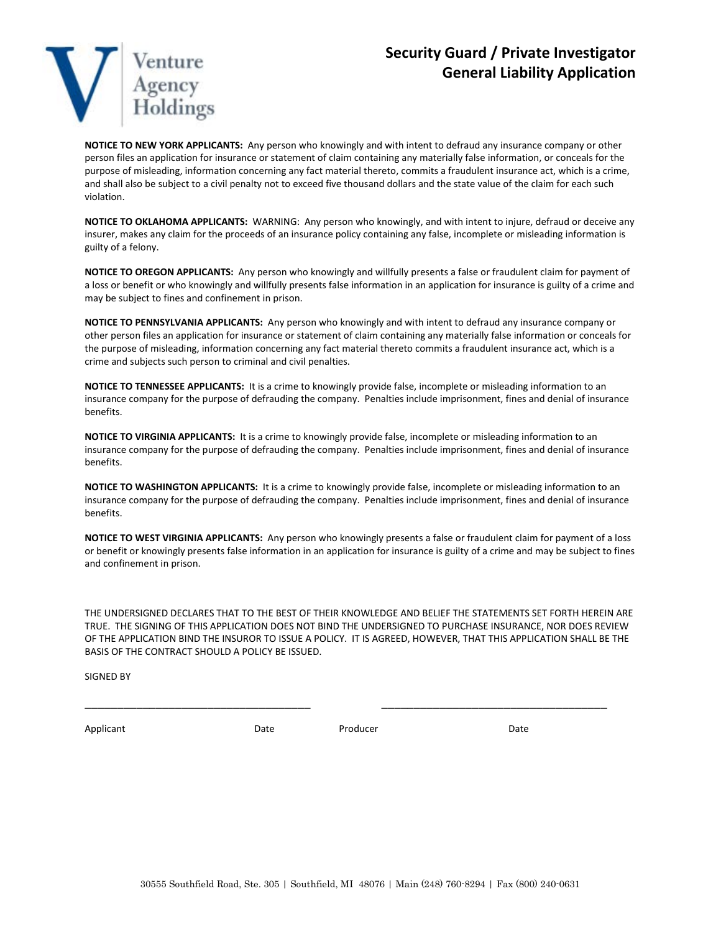

**NOTICE TO NEW YORK APPLICANTS:** Any person who knowingly and with intent to defraud any insurance company or other person files an application for insurance or statement of claim containing any materially false information, or conceals for the purpose of misleading, information concerning any fact material thereto, commits a fraudulent insurance act, which is a crime, and shall also be subject to a civil penalty not to exceed five thousand dollars and the state value of the claim for each such violation.

**NOTICE TO OKLAHOMA APPLICANTS:** WARNING: Any person who knowingly, and with intent to injure, defraud or deceive any insurer, makes any claim for the proceeds of an insurance policy containing any false, incomplete or misleading information is guilty of a felony.

**NOTICE TO OREGON APPLICANTS:** Any person who knowingly and willfully presents a false or fraudulent claim for payment of a loss or benefit or who knowingly and willfully presents false information in an application for insurance is guilty of a crime and may be subject to fines and confinement in prison.

**NOTICE TO PENNSYLVANIA APPLICANTS:** Any person who knowingly and with intent to defraud any insurance company or other person files an application for insurance or statement of claim containing any materially false information or conceals for the purpose of misleading, information concerning any fact material thereto commits a fraudulent insurance act, which is a crime and subjects such person to criminal and civil penalties.

**NOTICE TO TENNESSEE APPLICANTS:** It is a crime to knowingly provide false, incomplete or misleading information to an insurance company for the purpose of defrauding the company. Penalties include imprisonment, fines and denial of insurance benefits.

**NOTICE TO VIRGINIA APPLICANTS:** It is a crime to knowingly provide false, incomplete or misleading information to an insurance company for the purpose of defrauding the company. Penalties include imprisonment, fines and denial of insurance benefits.

**NOTICE TO WASHINGTON APPLICANTS:** It is a crime to knowingly provide false, incomplete or misleading information to an insurance company for the purpose of defrauding the company. Penalties include imprisonment, fines and denial of insurance benefits.

**NOTICE TO WEST VIRGINIA APPLICANTS:** Any person who knowingly presents a false or fraudulent claim for payment of a loss or benefit or knowingly presents false information in an application for insurance is guilty of a crime and may be subject to fines and confinement in prison.

THE UNDERSIGNED DECLARES THAT TO THE BEST OF THEIR KNOWLEDGE AND BELIEF THE STATEMENTS SET FORTH HEREIN ARE TRUE. THE SIGNING OF THIS APPLICATION DOES NOT BIND THE UNDERSIGNED TO PURCHASE INSURANCE, NOR DOES REVIEW OF THE APPLICATION BIND THE INSUROR TO ISSUE A POLICY. IT IS AGREED, HOWEVER, THAT THIS APPLICATION SHALL BE THE BASIS OF THE CONTRACT SHOULD A POLICY BE ISSUED.

SIGNED BY

Applicant Date Date Date Producer Producer Date

\_\_\_\_\_\_\_\_\_\_\_\_\_\_\_\_\_\_\_\_\_\_\_\_\_\_\_\_\_\_\_\_\_\_\_ \_\_\_\_\_\_\_\_\_\_\_\_\_\_\_\_\_\_\_\_\_\_\_\_\_\_\_\_\_\_\_\_\_\_\_